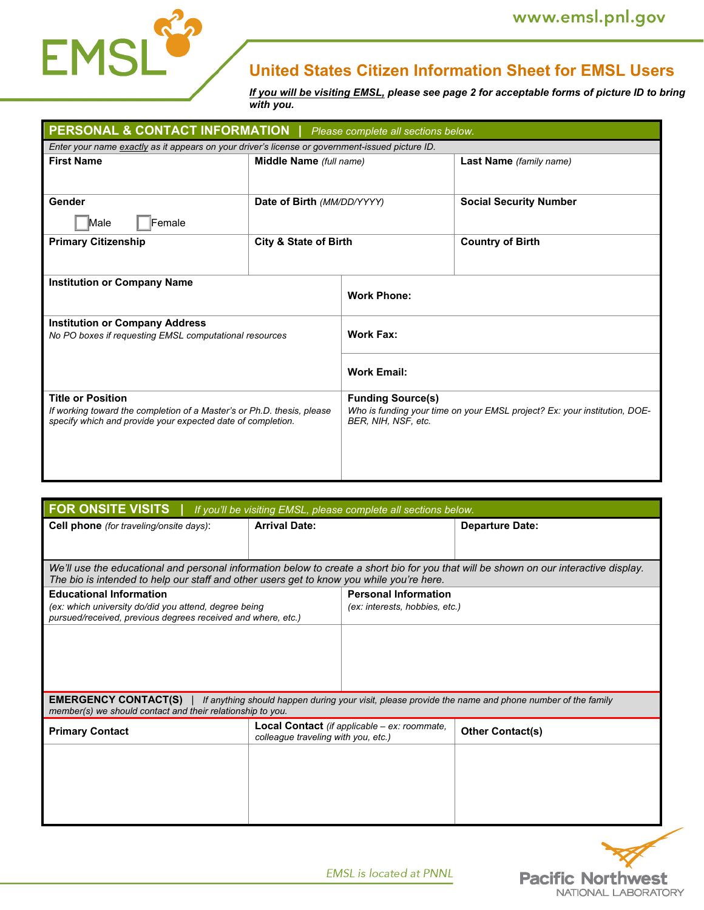

# **United States Citizen Information Sheet for EMSL Users**

*If you will be visiting EMSL, please see page 2 for acceptable forms of picture ID to bring with you.* 

| <b>PERSONAL &amp; CONTACT INFORMATION</b>   Please complete all sections below.                                                                                   |                                  |                                                                                                                              |                               |  |  |  |
|-------------------------------------------------------------------------------------------------------------------------------------------------------------------|----------------------------------|------------------------------------------------------------------------------------------------------------------------------|-------------------------------|--|--|--|
| Enter your name exactly as it appears on your driver's license or government-issued picture ID.                                                                   |                                  |                                                                                                                              |                               |  |  |  |
| <b>First Name</b>                                                                                                                                                 | Middle Name (full name)          |                                                                                                                              | Last Name (family name)       |  |  |  |
| Gender                                                                                                                                                            | Date of Birth (MM/DD/YYYY)       |                                                                                                                              | <b>Social Security Number</b> |  |  |  |
| Male<br>Female<br><b>Primary Citizenship</b>                                                                                                                      | <b>City &amp; State of Birth</b> |                                                                                                                              | <b>Country of Birth</b>       |  |  |  |
|                                                                                                                                                                   |                                  |                                                                                                                              |                               |  |  |  |
| <b>Institution or Company Name</b>                                                                                                                                |                                  | <b>Work Phone:</b>                                                                                                           |                               |  |  |  |
| <b>Institution or Company Address</b><br>No PO boxes if requesting EMSL computational resources                                                                   |                                  | <b>Work Fax:</b>                                                                                                             |                               |  |  |  |
|                                                                                                                                                                   |                                  | <b>Work Email:</b>                                                                                                           |                               |  |  |  |
| <b>Title or Position</b><br>If working toward the completion of a Master's or Ph.D. thesis, please<br>specify which and provide your expected date of completion. |                                  | <b>Funding Source(s)</b><br>Who is funding your time on your EMSL project? Ex: your institution, DOE-<br>BER, NIH, NSF, etc. |                               |  |  |  |
|                                                                                                                                                                   |                                  |                                                                                                                              |                               |  |  |  |

| <b>FOR ONSITE VISITS</b><br>If you'll be visiting EMSL, please complete all sections below.                                                                                                                                       |                                                                                            |                                                               |                         |  |  |
|-----------------------------------------------------------------------------------------------------------------------------------------------------------------------------------------------------------------------------------|--------------------------------------------------------------------------------------------|---------------------------------------------------------------|-------------------------|--|--|
| <b>Cell phone</b> (for traveling/onsite days):                                                                                                                                                                                    | <b>Arrival Date:</b>                                                                       |                                                               | <b>Departure Date:</b>  |  |  |
|                                                                                                                                                                                                                                   |                                                                                            |                                                               |                         |  |  |
| We'll use the educational and personal information below to create a short bio for you that will be shown on our interactive display.<br>The bio is intended to help our staff and other users get to know you while you're here. |                                                                                            |                                                               |                         |  |  |
| <b>Educational Information</b><br>(ex: which university do/did you attend, degree being<br>pursued/received, previous degrees received and where, etc.)                                                                           |                                                                                            | <b>Personal Information</b><br>(ex: interests, hobbies, etc.) |                         |  |  |
|                                                                                                                                                                                                                                   |                                                                                            |                                                               |                         |  |  |
| <b>EMERGENCY CONTACT(S)</b>   If anything should happen during your visit, please provide the name and phone number of the family<br>member(s) we should contact and their relationship to you.                                   |                                                                                            |                                                               |                         |  |  |
| <b>Primary Contact</b>                                                                                                                                                                                                            | <b>Local Contact</b> (if applicable – ex: roommate,<br>colleague traveling with you, etc.) |                                                               | <b>Other Contact(s)</b> |  |  |
|                                                                                                                                                                                                                                   |                                                                                            |                                                               |                         |  |  |
|                                                                                                                                                                                                                                   |                                                                                            |                                                               |                         |  |  |
|                                                                                                                                                                                                                                   |                                                                                            |                                                               |                         |  |  |
|                                                                                                                                                                                                                                   |                                                                                            |                                                               |                         |  |  |



**EMSL** is located at PNNL